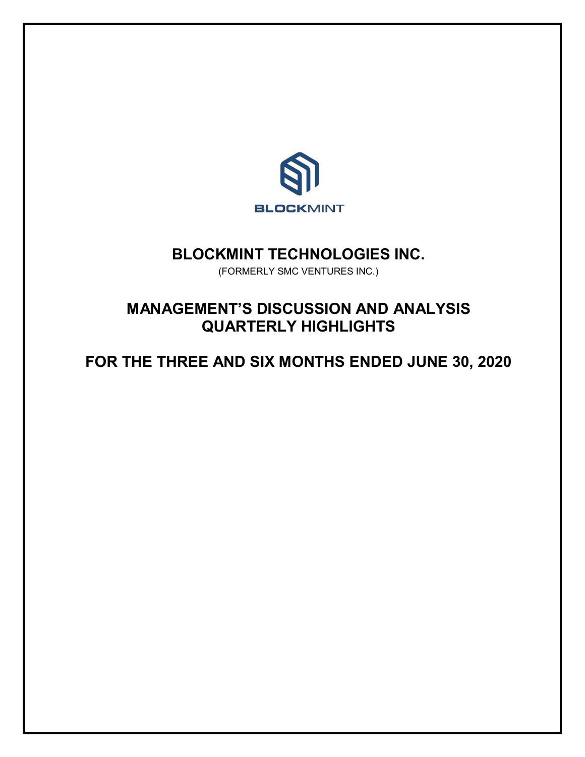

## **BLOCKMINT TECHNOLOGIES INC.**

(FORMERLY SMC VENTURES INC.)

# **MANAGEMENT'S DISCUSSION AND ANALYSIS QUARTERLY HIGHLIGHTS**

**FOR THE THREE AND SIX MONTHS ENDED JUNE 30, 2020**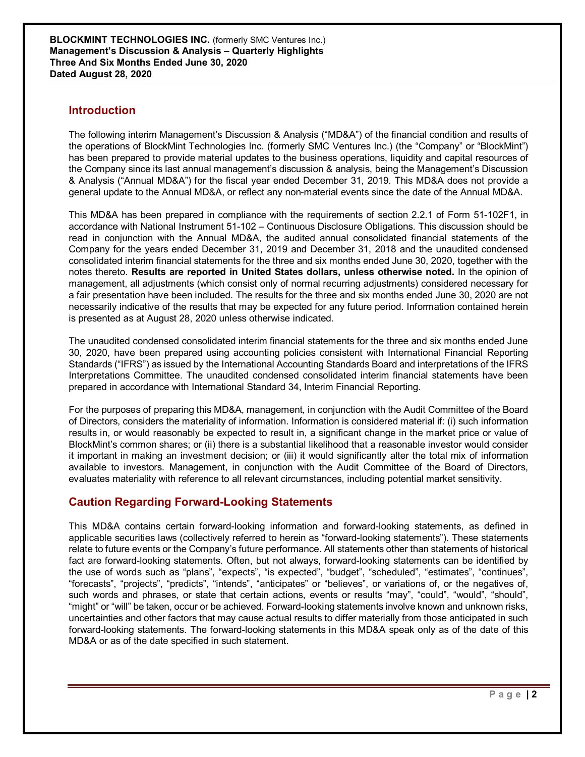### **Introduction**

The following interim Management's Discussion & Analysis ("MD&A") of the financial condition and results of the operations of BlockMint Technologies Inc. (formerly SMC Ventures Inc.) (the "Company" or "BlockMint") has been prepared to provide material updates to the business operations, liquidity and capital resources of the Company since its last annual management's discussion & analysis, being the Management's Discussion & Analysis ("Annual MD&A") for the fiscal year ended December 31, 2019. This MD&A does not provide a general update to the Annual MD&A, or reflect any non-material events since the date of the Annual MD&A.

This MD&A has been prepared in compliance with the requirements of section 2.2.1 of Form 51-102F1, in accordance with National Instrument 51-102 – Continuous Disclosure Obligations. This discussion should be read in conjunction with the Annual MD&A, the audited annual consolidated financial statements of the Company for the years ended December 31, 2019 and December 31, 2018 and the unaudited condensed consolidated interim financial statements for the three and six months ended June 30, 2020, together with the notes thereto. **Results are reported in United States dollars, unless otherwise noted.** In the opinion of management, all adjustments (which consist only of normal recurring adjustments) considered necessary for a fair presentation have been included. The results for the three and six months ended June 30, 2020 are not necessarily indicative of the results that may be expected for any future period. Information contained herein is presented as at August 28, 2020 unless otherwise indicated.

The unaudited condensed consolidated interim financial statements for the three and six months ended June 30, 2020, have been prepared using accounting policies consistent with International Financial Reporting Standards ("IFRS") as issued by the International Accounting Standards Board and interpretations of the IFRS Interpretations Committee. The unaudited condensed consolidated interim financial statements have been prepared in accordance with International Standard 34, Interim Financial Reporting.

For the purposes of preparing this MD&A, management, in conjunction with the Audit Committee of the Board of Directors, considers the materiality of information. Information is considered material if: (i) such information results in, or would reasonably be expected to result in, a significant change in the market price or value of BlockMint's common shares; or (ii) there is a substantial likelihood that a reasonable investor would consider it important in making an investment decision; or (iii) it would significantly alter the total mix of information available to investors. Management, in conjunction with the Audit Committee of the Board of Directors, evaluates materiality with reference to all relevant circumstances, including potential market sensitivity.

### **Caution Regarding Forward-Looking Statements**

This MD&A contains certain forward-looking information and forward-looking statements, as defined in applicable securities laws (collectively referred to herein as "forward-looking statements"). These statements relate to future events or the Company's future performance. All statements other than statements of historical fact are forward-looking statements. Often, but not always, forward-looking statements can be identified by the use of words such as "plans", "expects", "is expected", "budget", "scheduled", "estimates", "continues", "forecasts", "projects", "predicts", "intends", "anticipates" or "believes", or variations of, or the negatives of, such words and phrases, or state that certain actions, events or results "may", "could", "would", "should", "might" or "will" be taken, occur or be achieved. Forward-looking statements involve known and unknown risks, uncertainties and other factors that may cause actual results to differ materially from those anticipated in such forward-looking statements. The forward-looking statements in this MD&A speak only as of the date of this MD&A or as of the date specified in such statement.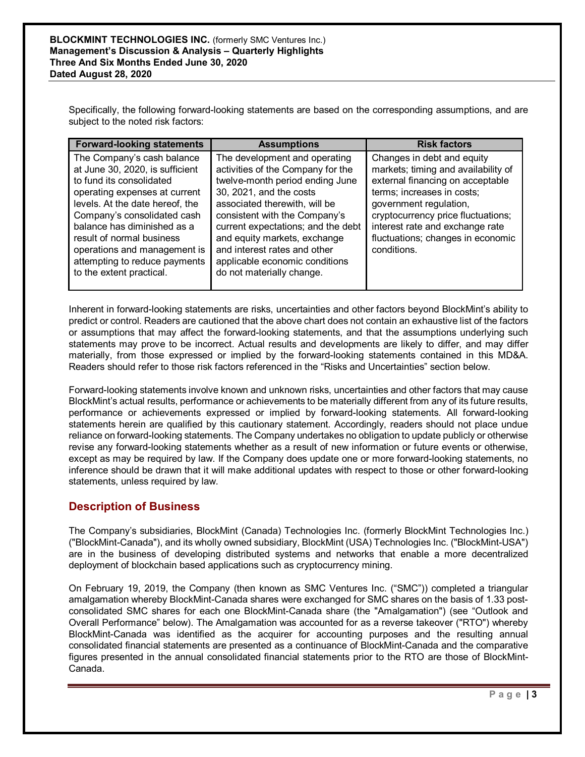Specifically, the following forward-looking statements are based on the corresponding assumptions, and are subject to the noted risk factors:

| <b>Forward-looking statements</b>                                                                                                                                                                                                                                                                                                                     | <b>Assumptions</b>                                                                                                                                                                                                                                                                                                                                                      | <b>Risk factors</b>                                                                                                                                                                                                                                                                        |
|-------------------------------------------------------------------------------------------------------------------------------------------------------------------------------------------------------------------------------------------------------------------------------------------------------------------------------------------------------|-------------------------------------------------------------------------------------------------------------------------------------------------------------------------------------------------------------------------------------------------------------------------------------------------------------------------------------------------------------------------|--------------------------------------------------------------------------------------------------------------------------------------------------------------------------------------------------------------------------------------------------------------------------------------------|
| The Company's cash balance<br>at June 30, 2020, is sufficient<br>to fund its consolidated<br>operating expenses at current<br>levels. At the date hereof, the<br>Company's consolidated cash<br>balance has diminished as a<br>result of normal business<br>operations and management is<br>attempting to reduce payments<br>to the extent practical. | The development and operating<br>activities of the Company for the<br>twelve-month period ending June<br>30, 2021, and the costs<br>associated therewith, will be<br>consistent with the Company's<br>current expectations; and the debt<br>and equity markets, exchange<br>and interest rates and other<br>applicable economic conditions<br>do not materially change. | Changes in debt and equity<br>markets; timing and availability of<br>external financing on acceptable<br>terms; increases in costs;<br>government regulation,<br>cryptocurrency price fluctuations;<br>interest rate and exchange rate<br>fluctuations; changes in economic<br>conditions. |

Inherent in forward-looking statements are risks, uncertainties and other factors beyond BlockMint's ability to predict or control. Readers are cautioned that the above chart does not contain an exhaustive list of the factors or assumptions that may affect the forward-looking statements, and that the assumptions underlying such statements may prove to be incorrect. Actual results and developments are likely to differ, and may differ materially, from those expressed or implied by the forward-looking statements contained in this MD&A. Readers should refer to those risk factors referenced in the "Risks and Uncertainties" section below.

Forward-looking statements involve known and unknown risks, uncertainties and other factors that may cause BlockMint's actual results, performance or achievements to be materially different from any of its future results, performance or achievements expressed or implied by forward-looking statements. All forward-looking statements herein are qualified by this cautionary statement. Accordingly, readers should not place undue reliance on forward-looking statements. The Company undertakes no obligation to update publicly or otherwise revise any forward-looking statements whether as a result of new information or future events or otherwise, except as may be required by law. If the Company does update one or more forward-looking statements, no inference should be drawn that it will make additional updates with respect to those or other forward-looking statements, unless required by law.

### **Description of Business**

The Company's subsidiaries, BlockMint (Canada) Technologies Inc. (formerly BlockMint Technologies Inc.) ("BlockMint-Canada"), and its wholly owned subsidiary, BlockMint (USA) Technologies Inc. ("BlockMint-USA") are in the business of developing distributed systems and networks that enable a more decentralized deployment of blockchain based applications such as cryptocurrency mining.

On February 19, 2019, the Company (then known as SMC Ventures Inc. ("SMC")) completed a triangular amalgamation whereby BlockMint-Canada shares were exchanged for SMC shares on the basis of 1.33 postconsolidated SMC shares for each one BlockMint-Canada share (the "Amalgamation") (see "Outlook and Overall Performance" below). The Amalgamation was accounted for as a reverse takeover ("RTO") whereby BlockMint-Canada was identified as the acquirer for accounting purposes and the resulting annual consolidated financial statements are presented as a continuance of BlockMint-Canada and the comparative figures presented in the annual consolidated financial statements prior to the RTO are those of BlockMint-Canada.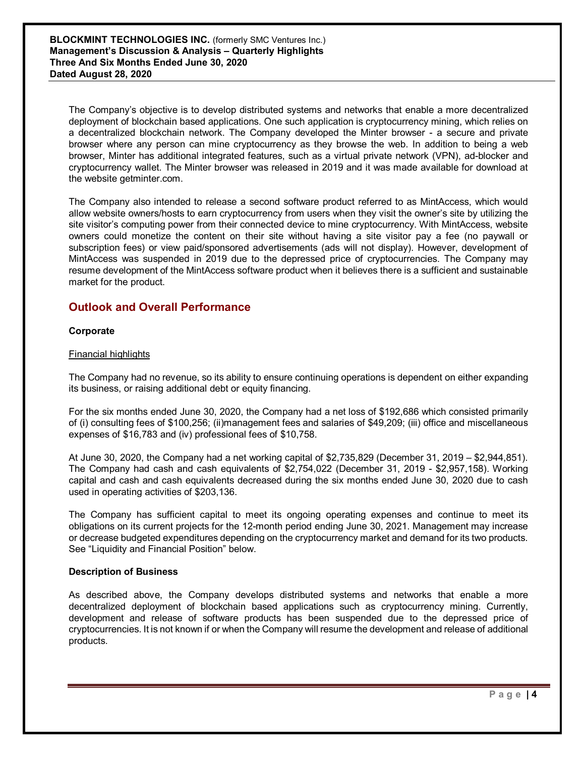**BLOCKMINT TECHNOLOGIES INC.** (formerly SMC Ventures Inc.) **Management's Discussion & Analysis – Quarterly Highlights Three And Six Months Ended June 30, 2020 Dated August 28, 2020**

The Company's objective is to develop distributed systems and networks that enable a more decentralized deployment of blockchain based applications. One such application is cryptocurrency mining, which relies on a decentralized blockchain network. The Company developed the Minter browser - a secure and private browser where any person can mine cryptocurrency as they browse the web. In addition to being a web browser, Minter has additional integrated features, such as a virtual private network (VPN), ad-blocker and cryptocurrency wallet. The Minter browser was released in 2019 and it was made available for download at the website getminter.com.

The Company also intended to release a second software product referred to as MintAccess, which would allow website owners/hosts to earn cryptocurrency from users when they visit the owner's site by utilizing the site visitor's computing power from their connected device to mine cryptocurrency. With MintAccess, website owners could monetize the content on their site without having a site visitor pay a fee (no paywall or subscription fees) or view paid/sponsored advertisements (ads will not display). However, development of MintAccess was suspended in 2019 due to the depressed price of cryptocurrencies. The Company may resume development of the MintAccess software product when it believes there is a sufficient and sustainable market for the product.

### **Outlook and Overall Performance**

#### **Corporate**

#### Financial highlights

The Company had no revenue, so its ability to ensure continuing operations is dependent on either expanding its business, or raising additional debt or equity financing.

For the six months ended June 30, 2020, the Company had a net loss of \$192,686 which consisted primarily of (i) consulting fees of \$100,256; (ii)management fees and salaries of \$49,209; (iii) office and miscellaneous expenses of \$16,783 and (iv) professional fees of \$10,758.

At June 30, 2020, the Company had a net working capital of \$2,735,829 (December 31, 2019 – \$2,944,851). The Company had cash and cash equivalents of \$2,754,022 (December 31, 2019 - \$2,957,158). Working capital and cash and cash equivalents decreased during the six months ended June 30, 2020 due to cash used in operating activities of \$203,136.

The Company has sufficient capital to meet its ongoing operating expenses and continue to meet its obligations on its current projects for the 12-month period ending June 30, 2021. Management may increase or decrease budgeted expenditures depending on the cryptocurrency market and demand for its two products. See "Liquidity and Financial Position" below.

#### **Description of Business**

As described above, the Company develops distributed systems and networks that enable a more decentralized deployment of blockchain based applications such as cryptocurrency mining. Currently, development and release of software products has been suspended due to the depressed price of cryptocurrencies. It is not known if or when the Company will resume the development and release of additional products.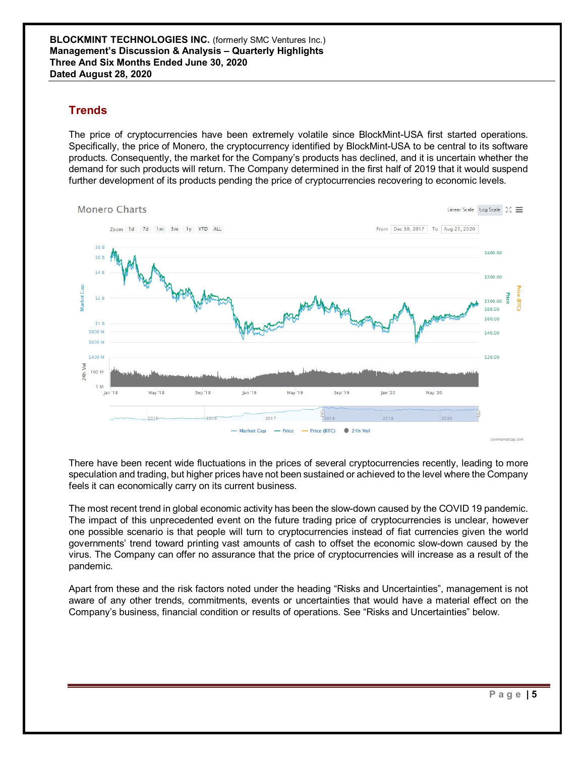### **Trends**

The price of cryptocurrencies have been extremely volatile since BlockMint-USA first started operations. Specifically, the price of Monero, the cryptocurrency identified by BlockMint-USA to be central to its software products. Consequently, the market for the Company's products has declined, and it is uncertain whether the demand for such products will return. The Company determined in the first half of 2019 that it would suspend further development of its products pending the price of cryptocurrencies recovering to economic levels.



There have been recent wide fluctuations in the prices of several cryptocurrencies recently, leading to more speculation and trading, but higher prices have not been sustained or achieved to the level where the Company feels it can economically carry on its current business.

The most recent trend in global economic activity has been the slow-down caused by the COVID 19 pandemic. The impact of this unprecedented event on the future trading price of cryptocurrencies is unclear, however one possible scenario is that people will turn to cryptocurrencies instead of fiat currencies given the world governments' trend toward printing vast amounts of cash to offset the economic slow-down caused by the virus. The Company can offer no assurance that the price of cryptocurrencies will increase as a result of the pandemic.

Apart from these and the risk factors noted under the heading "Risks and Uncertainties", management is not aware of any other trends, commitments, events or uncertainties that would have a material effect on the Company's business, financial condition or results of operations. See "Risks and Uncertainties" below.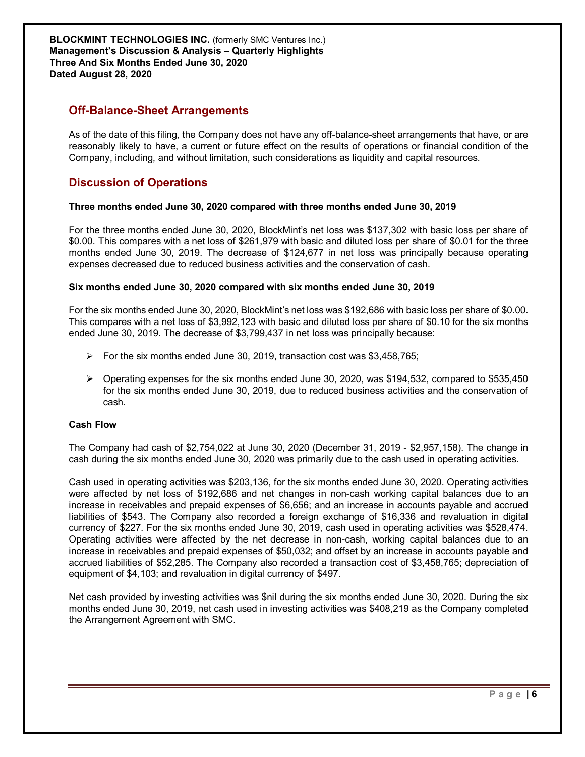### **Off-Balance-Sheet Arrangements**

As of the date of this filing, the Company does not have any off-balance-sheet arrangements that have, or are reasonably likely to have, a current or future effect on the results of operations or financial condition of the Company, including, and without limitation, such considerations as liquidity and capital resources.

### **Discussion of Operations**

#### **Three months ended June 30, 2020 compared with three months ended June 30, 2019**

For the three months ended June 30, 2020, BlockMint's net loss was \$137,302 with basic loss per share of \$0.00. This compares with a net loss of \$261,979 with basic and diluted loss per share of \$0.01 for the three months ended June 30, 2019. The decrease of \$124,677 in net loss was principally because operating expenses decreased due to reduced business activities and the conservation of cash.

#### **Six months ended June 30, 2020 compared with six months ended June 30, 2019**

For the six months ended June 30, 2020, BlockMint's net loss was \$192,686 with basic loss per share of \$0.00. This compares with a net loss of \$3,992,123 with basic and diluted loss per share of \$0.10 for the six months ended June 30, 2019. The decrease of \$3,799,437 in net loss was principally because:

- $\triangleright$  For the six months ended June 30, 2019, transaction cost was \$3,458,765;
- $\triangleright$  Operating expenses for the six months ended June 30, 2020, was \$194,532, compared to \$535,450 for the six months ended June 30, 2019, due to reduced business activities and the conservation of cash.

#### **Cash Flow**

The Company had cash of \$2,754,022 at June 30, 2020 (December 31, 2019 - \$2,957,158). The change in cash during the six months ended June 30, 2020 was primarily due to the cash used in operating activities.

Cash used in operating activities was \$203,136, for the six months ended June 30, 2020. Operating activities were affected by net loss of \$192,686 and net changes in non-cash working capital balances due to an increase in receivables and prepaid expenses of \$6,656; and an increase in accounts payable and accrued liabilities of \$543. The Company also recorded a foreign exchange of \$16,336 and revaluation in digital currency of \$227. For the six months ended June 30, 2019, cash used in operating activities was \$528,474. Operating activities were affected by the net decrease in non-cash, working capital balances due to an increase in receivables and prepaid expenses of \$50,032; and offset by an increase in accounts payable and accrued liabilities of \$52,285. The Company also recorded a transaction cost of \$3,458,765; depreciation of equipment of \$4,103; and revaluation in digital currency of \$497.

Net cash provided by investing activities was \$nil during the six months ended June 30, 2020. During the six months ended June 30, 2019, net cash used in investing activities was \$408,219 as the Company completed the Arrangement Agreement with SMC.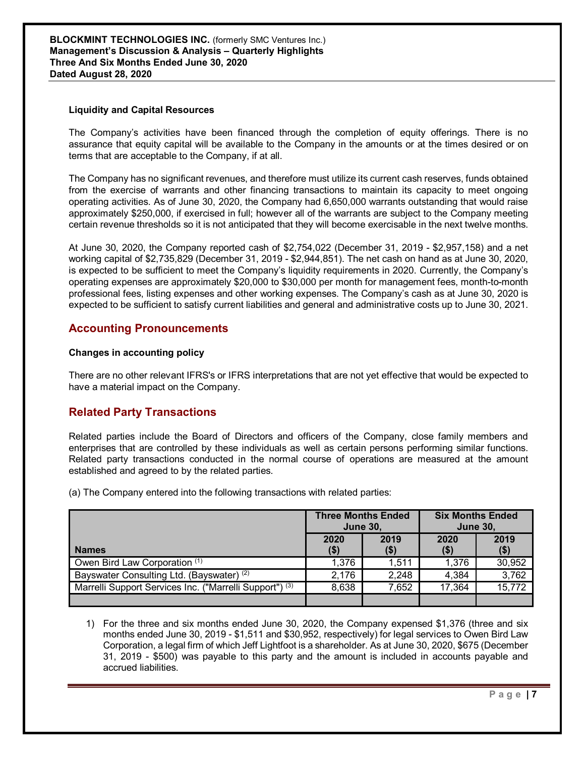**BLOCKMINT TECHNOLOGIES INC.** (formerly SMC Ventures Inc.) **Management's Discussion & Analysis – Quarterly Highlights Three And Six Months Ended June 30, 2020 Dated August 28, 2020**

#### **Liquidity and Capital Resources**

The Company's activities have been financed through the completion of equity offerings. There is no assurance that equity capital will be available to the Company in the amounts or at the times desired or on terms that are acceptable to the Company, if at all.

The Company has no significant revenues, and therefore must utilize its current cash reserves, funds obtained from the exercise of warrants and other financing transactions to maintain its capacity to meet ongoing operating activities. As of June 30, 2020, the Company had 6,650,000 warrants outstanding that would raise approximately \$250,000, if exercised in full; however all of the warrants are subject to the Company meeting certain revenue thresholds so it is not anticipated that they will become exercisable in the next twelve months.

At June 30, 2020, the Company reported cash of \$2,754,022 (December 31, 2019 - \$2,957,158) and a net working capital of \$2,735,829 (December 31, 2019 - \$2,944,851). The net cash on hand as at June 30, 2020, is expected to be sufficient to meet the Company's liquidity requirements in 2020. Currently, the Company's operating expenses are approximately \$20,000 to \$30,000 per month for management fees, month-to-month professional fees, listing expenses and other working expenses. The Company's cash as at June 30, 2020 is expected to be sufficient to satisfy current liabilities and general and administrative costs up to June 30, 2021.

### **Accounting Pronouncements**

#### **Changes in accounting policy**

There are no other relevant IFRS's or IFRS interpretations that are not yet effective that would be expected to have a material impact on the Company.

### **Related Party Transactions**

Related parties include the Board of Directors and officers of the Company, close family members and enterprises that are controlled by these individuals as well as certain persons performing similar functions. Related party transactions conducted in the normal course of operations are measured at the amount established and agreed to by the related parties.

(a) The Company entered into the following transactions with related parties:

|                                                                    | <b>Three Months Ended</b><br><b>June 30,</b> |              | <b>Six Months Ended</b><br><b>June 30,</b> |               |
|--------------------------------------------------------------------|----------------------------------------------|--------------|--------------------------------------------|---------------|
| <b>Names</b>                                                       | 2020<br>( \$)                                | 2019<br>(\$) | 2020<br>(\$)                               | 2019<br>( \$) |
| Owen Bird Law Corporation (1)                                      | 1,376                                        | 1.511        | 1,376                                      | 30,952        |
| Bayswater Consulting Ltd. (Bayswater) <sup>(2)</sup>               | 2,176                                        | 2,248        | 4,384                                      | 3,762         |
| Marrelli Support Services Inc. ("Marrelli Support") <sup>(3)</sup> | 8,638                                        | 7.652        | 17.364                                     | 15,772        |
|                                                                    |                                              |              |                                            |               |

1) For the three and six months ended June 30, 2020, the Company expensed \$1,376 (three and six months ended June 30, 2019 - \$1,511 and \$30,952, respectively) for legal services to Owen Bird Law Corporation, a legal firm of which Jeff Lightfoot is a shareholder. As at June 30, 2020, \$675 (December 31, 2019 - \$500) was payable to this party and the amount is included in accounts payable and accrued liabilities.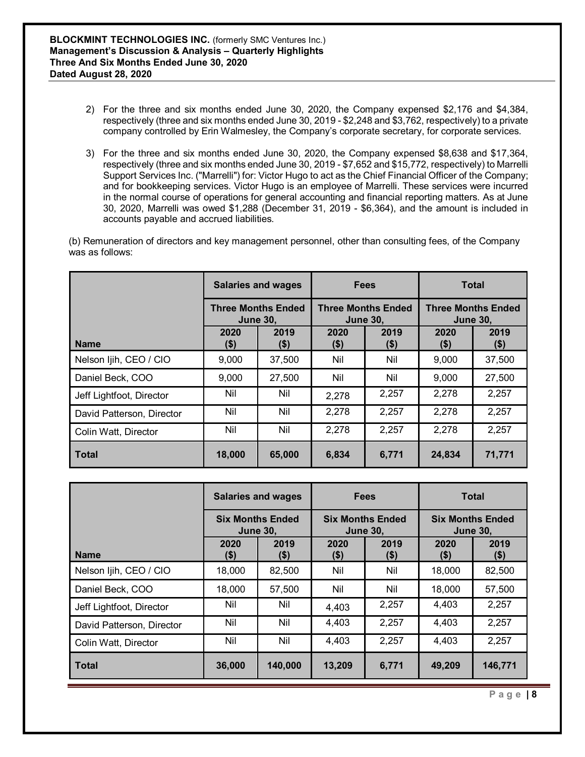- 2) For the three and six months ended June 30, 2020, the Company expensed \$2,176 and \$4,384, respectively (three and six months ended June 30, 2019 - \$2,248 and \$3,762, respectively) to a private company controlled by Erin Walmesley, the Company's corporate secretary, for corporate services.
- 3) For the three and six months ended June 30, 2020, the Company expensed \$8,638 and \$17,364, respectively (three and six months ended June 30, 2019 - \$7,652 and \$15,772, respectively) to Marrelli Support Services Inc. ("Marrelli") for: Victor Hugo to act as the Chief Financial Officer of the Company; and for bookkeeping services. Victor Hugo is an employee of Marrelli. These services were incurred in the normal course of operations for general accounting and financial reporting matters. As at June 30, 2020, Marrelli was owed \$1,288 (December 31, 2019 - \$6,364), and the amount is included in accounts payable and accrued liabilities.

(b) Remuneration of directors and key management personnel, other than consulting fees, of the Company was as follows:

|                           |                 | <b>Salaries and wages</b><br><b>Fees</b><br><b>Three Months Ended</b><br><b>Three Months Ended</b><br><b>June 30,</b><br><b>June 30,</b> |                 |                                              | <b>Total</b> |                 |
|---------------------------|-----------------|------------------------------------------------------------------------------------------------------------------------------------------|-----------------|----------------------------------------------|--------------|-----------------|
|                           |                 |                                                                                                                                          |                 | <b>Three Months Ended</b><br><b>June 30,</b> |              |                 |
| <b>Name</b>               | 2020<br>$($ \$) | 2019<br>(\$)                                                                                                                             | 2020<br>$($ \$) | 2019<br>$($ \$)                              | 2020<br>(\$) | 2019<br>$($ \$) |
| Nelson Ijih, CEO / CIO    | 9,000           | 37,500                                                                                                                                   | Nil             | Nil                                          | 9,000        | 37,500          |
| Daniel Beck, COO          | 9,000           | 27,500                                                                                                                                   | Nil             | Nil                                          | 9,000        | 27,500          |
| Jeff Lightfoot, Director  | Nil             | Nil                                                                                                                                      | 2,278           | 2,257                                        | 2,278        | 2,257           |
| David Patterson, Director | Nil             | Nil                                                                                                                                      | 2,278           | 2,257                                        | 2,278        | 2,257           |
| Colin Watt, Director      | Nil             | Nil                                                                                                                                      | 2,278           | 2,257                                        | 2,278        | 2,257           |
| <b>Total</b>              | 18,000          | 65,000                                                                                                                                   | 6,834           | 6,771                                        | 24,834       | 71,771          |

|                           | <b>Salaries and wages</b> |                                                                                          | <b>Fees</b>     |                                            | <b>Total</b> |                 |
|---------------------------|---------------------------|------------------------------------------------------------------------------------------|-----------------|--------------------------------------------|--------------|-----------------|
|                           |                           | <b>Six Months Ended</b><br><b>Six Months Ended</b><br><b>June 30,</b><br><b>June 30.</b> |                 | <b>Six Months Ended</b><br><b>June 30,</b> |              |                 |
| <b>Name</b>               | 2020<br>$($ \$)           | 2019<br>(\$)                                                                             | 2020<br>$($ \$) | 2019<br>$($ \$)                            | 2020<br>(\$) | 2019<br>$($ \$) |
| Nelson Ijih, CEO / CIO    | 18,000                    | 82,500                                                                                   | Nil             | Nil                                        | 18,000       | 82,500          |
| Daniel Beck, COO          | 18,000                    | 57,500                                                                                   | Nil             | Nil                                        | 18,000       | 57,500          |
| Jeff Lightfoot, Director  | Nil                       | Nil                                                                                      | 4,403           | 2,257                                      | 4,403        | 2,257           |
| David Patterson, Director | Nil                       | Nil                                                                                      | 4,403           | 2,257                                      | 4.403        | 2,257           |
| Colin Watt, Director      | Nil                       | Nil                                                                                      | 4,403           | 2,257                                      | 4,403        | 2,257           |
| <b>Total</b>              | 36,000                    | 140,000                                                                                  | 13,209          | 6,771                                      | 49,209       | 146,771         |

**Page | 8**